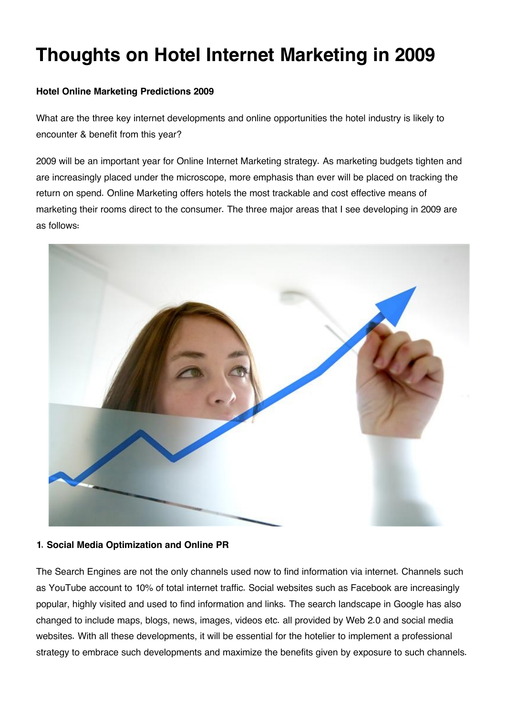# **Thoughts on Hotel Internet Marketing in 2009**

# **Hotel Online Marketing Predictions 2009**

What are the three key internet developments and online opportunities the hotel industry is likely to encounter & benefit from this year?

2009 will be an important year for Online Internet Marketing strategy. As marketing budgets tighten and are increasingly placed under the microscope, more emphasis than ever will be placed on tracking the return on spend. Online Marketing offers hotels the most trackable and cost effective means of marketing their rooms direct to the consumer. The three major areas that I see developing in 2009 are as follows:



# **1. Social Media Optimization and Online PR**

The Search Engines are not the only channels used now to find information via internet. Channels such as YouTube account to 10% of total internet traffic. Social websites such as Facebook are increasingly popular, highly visited and used to find information and links. The search landscape in Google has also changed to include maps, blogs, news, images, videos etc. all provided by Web 2.0 and social media websites. With all these developments, it will be essential for the hotelier to implement a professional strategy to embrace such developments and maximize the benefits given by exposure to such channels.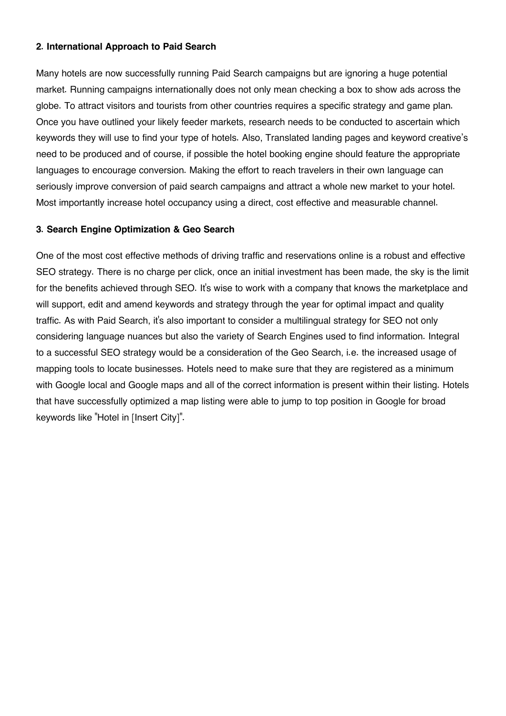### **2. International Approach to Paid Search**

Many hotels are now successfully running Paid Search campaigns but are ignoring a huge potential market. Running campaigns internationally does not only mean checking a box to show ads across the globe. To attract visitors and tourists from other countries requires a specific strategy and game plan. Once you have outlined your likely feeder markets, research needs to be conducted to ascertain which keywords they will use to find your type of hotels. Also, Translated landing pages and keyword creative's need to be produced and of course, if possible the hotel booking engine should feature the appropriate languages to encourage conversion. Making the effort to reach travelers in their own language can seriously improve conversion of paid search campaigns and attract a whole new market to your hotel. Most importantly increase hotel occupancy using a direct, cost effective and measurable channel.

## **3. Search Engine Optimization & Geo Search**

One of the most cost effective methods of driving traffic and reservations online is a robust and effective SEO strategy. There is no charge per click, once an initial investment has been made, the sky is the limit for the benefits achieved through SEO. It's wise to work with a company that knows the marketplace and will support, edit and amend keywords and strategy through the year for optimal impact and quality traffic. As with Paid Search, it's also important to consider a multilingual strategy for SEO not only considering language nuances but also the variety of Search Engines used to find information. Integral to a successful SEO strategy would be a consideration of the Geo Search, i.e. the increased usage of mapping tools to locate businesses. Hotels need to make sure that they are registered as a minimum with Google local and Google maps and all of the correct information is present within their listing. Hotels that have successfully optimized a map listing were able to jump to top position in Google for broad keywords like "Hotel in [Insert City]".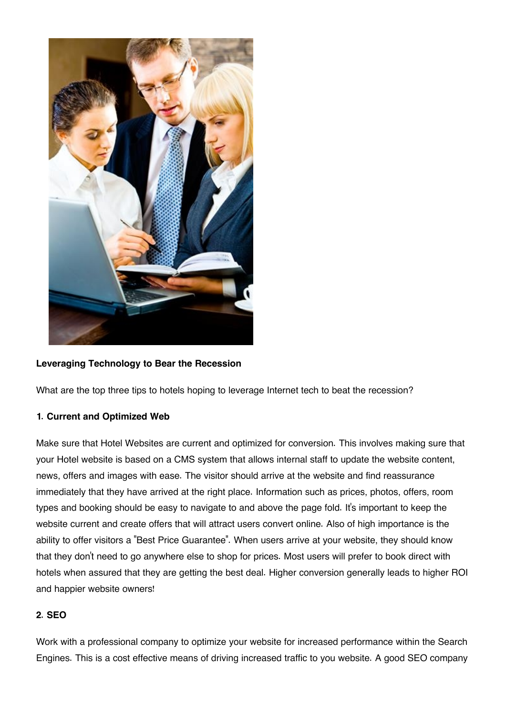

## **Leveraging Technology to Bear the Recession**

What are the top three tips to hotels hoping to leverage Internet tech to beat the recession?

# **1. Current and Optimized Web**

Make sure that Hotel Websites are current and optimized for conversion. This involves making sure that your Hotel website is based on a CMS system that allows internal staff to update the website content, news, offers and images with ease. The visitor should arrive at the website and find reassurance immediately that they have arrived at the right place. Information such as prices, photos, offers, room types and booking should be easy to navigate to and above the page fold. It's important to keep the website current and create offers that will attract users convert online. Also of high importance is the ability to offer visitors a "Best Price Guarantee". When users arrive at your website, they should know that they don't need to go anywhere else to shop for prices. Most users will prefer to book direct with hotels when assured that they are getting the best deal. Higher conversion generally leads to higher ROI and happier website owners!

## **2. SEO**

Work with a professional company to optimize your website for increased performance within the Search Engines. This is a cost effective means of driving increased traffic to you website. A good SEO company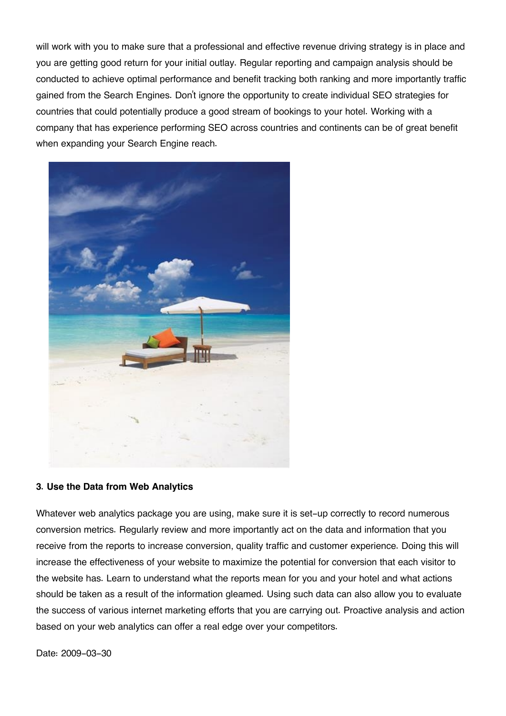will work with you to make sure that a professional and effective revenue driving strategy is in place and you are getting good return for your initial outlay. Regular reporting and campaign analysis should be conducted to achieve optimal performance and benefit tracking both ranking and more importantly traffic gained from the Search Engines. Don't ignore the opportunity to create individual SEO strategies for countries that could potentially produce a good stream of bookings to your hotel. Working with a company that has experience performing SEO across countries and continents can be of great benefit when expanding your Search Engine reach.



### **3. Use the Data from Web Analytics**

Whatever web analytics package you are using, make sure it is set-up correctly to record numerous conversion metrics. Regularly review and more importantly act on the data and information that you receive from the reports to increase conversion, quality traffic and customer experience. Doing this will increase the effectiveness of your website to maximize the potential for conversion that each visitor to the website has. Learn to understand what the reports mean for you and your hotel and what actions should be taken as a result of the information gleamed. Using such data can also allow you to evaluate the success of various internet marketing efforts that you are carrying out. Proactive analysis and action based on your web analytics can offer a real edge over your competitors.

Date: 2009-03-30